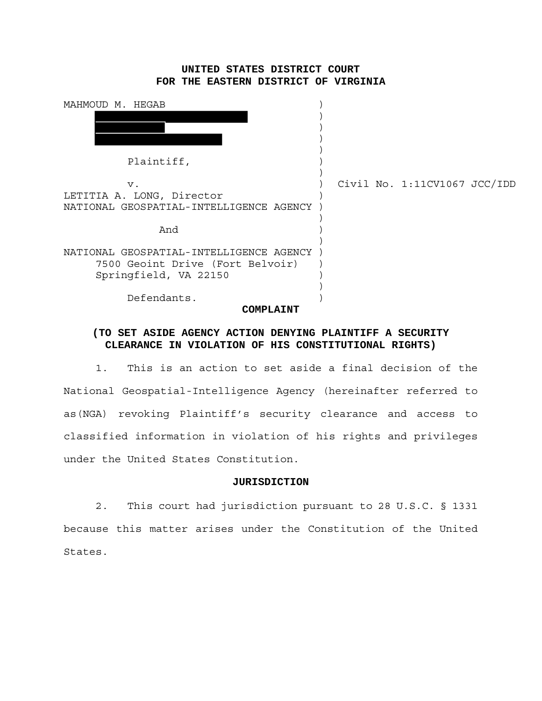# **UNITED STATES DISTRICT COURT FOR THE EASTERN DISTRICT OF VIRGINIA**

| MAHMOUD M. HEGAB                        |  |                              |  |
|-----------------------------------------|--|------------------------------|--|
|                                         |  |                              |  |
|                                         |  |                              |  |
|                                         |  |                              |  |
| Plaintiff,                              |  |                              |  |
|                                         |  | Civil No. 1:11CV1067 JCC/IDD |  |
| $V$ .<br>LETITIA A. LONG, Director      |  |                              |  |
| NATIONAL GEOSPATIAL-INTELLIGENCE AGENCY |  |                              |  |
|                                         |  |                              |  |
| And                                     |  |                              |  |
| NATIONAL GEOSPATIAL-INTELLIGENCE AGENCY |  |                              |  |
| 7500 Geoint Drive (Fort Belvoir)        |  |                              |  |
| Springfield, VA 22150                   |  |                              |  |
| Defendants.                             |  |                              |  |
| COMPIATNT                               |  |                              |  |
|                                         |  |                              |  |

# **(TO SET ASIDE AGENCY ACTION DENYING PLAINTIFF A SECURITY CLEARANCE IN VIOLATION OF HIS CONSTITUTIONAL RIGHTS)**

1. This is an action to set aside a final decision of the National Geospatial-Intelligence Agency (hereinafter referred to as(NGA) revoking Plaintiff's security clearance and access to classified information in violation of his rights and privileges under the United States Constitution.

## **JURISDICTION**

2. This court had jurisdiction pursuant to 28 U.S.C. § 1331 because this matter arises under the Constitution of the United States.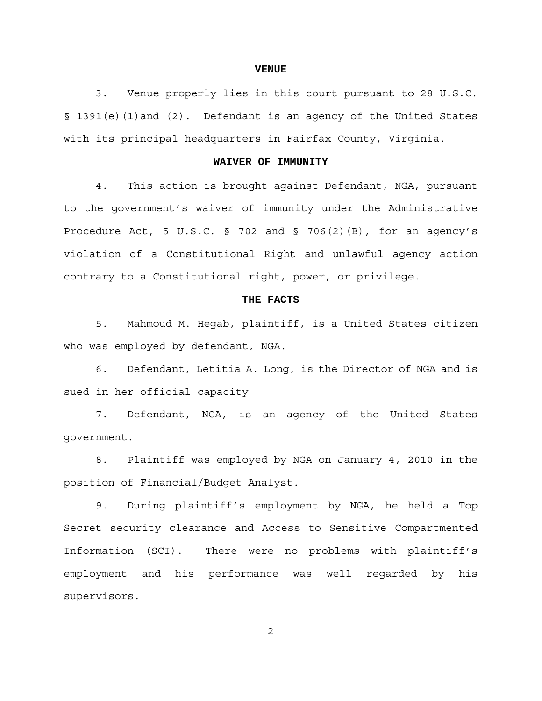#### **VENUE**

3. Venue properly lies in this court pursuant to 28 U.S.C. § 1391(e)(1)and (2). Defendant is an agency of the United States with its principal headquarters in Fairfax County, Virginia.

## **WAIVER OF IMMUNITY**

4. This action is brought against Defendant, NGA, pursuant to the government's waiver of immunity under the Administrative Procedure Act, 5 U.S.C. § 702 and § 706(2)(B), for an agency's violation of a Constitutional Right and unlawful agency action contrary to a Constitutional right, power, or privilege.

#### **THE FACTS**

5. Mahmoud M. Hegab, plaintiff, is a United States citizen who was employed by defendant, NGA.

6. Defendant, Letitia A. Long, is the Director of NGA and is sued in her official capacity

7. Defendant, NGA, is an agency of the United States government.

8. Plaintiff was employed by NGA on January 4, 2010 in the position of Financial/Budget Analyst.

9. During plaintiff's employment by NGA, he held a Top Secret security clearance and Access to Sensitive Compartmented Information (SCI). There were no problems with plaintiff's employment and his performance was well regarded by his supervisors.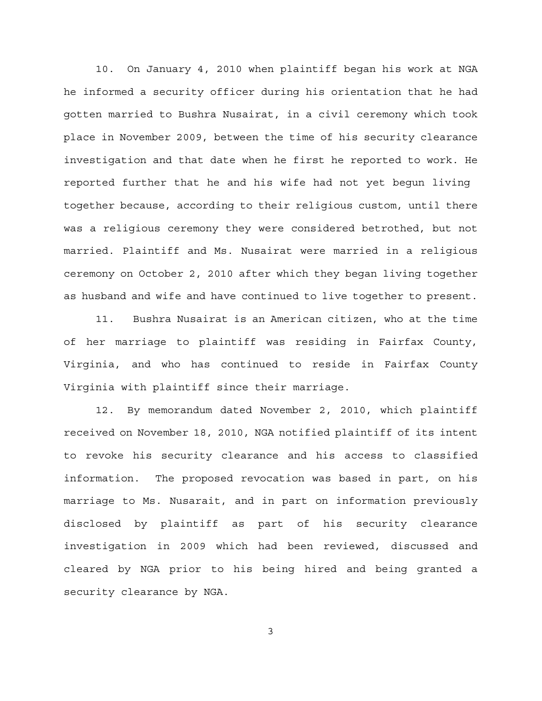10. On January 4, 2010 when plaintiff began his work at NGA he informed a security officer during his orientation that he had gotten married to Bushra Nusairat, in a civil ceremony which took place in November 2009, between the time of his security clearance investigation and that date when he first he reported to work. He reported further that he and his wife had not yet begun living together because, according to their religious custom, until there was a religious ceremony they were considered betrothed, but not married. Plaintiff and Ms. Nusairat were married in a religious ceremony on October 2, 2010 after which they began living together as husband and wife and have continued to live together to present.

11. Bushra Nusairat is an American citizen, who at the time of her marriage to plaintiff was residing in Fairfax County, Virginia, and who has continued to reside in Fairfax County Virginia with plaintiff since their marriage.

12. By memorandum dated November 2, 2010, which plaintiff received on November 18, 2010, NGA notified plaintiff of its intent to revoke his security clearance and his access to classified information. The proposed revocation was based in part, on his marriage to Ms. Nusarait, and in part on information previously disclosed by plaintiff as part of his security clearance investigation in 2009 which had been reviewed, discussed and cleared by NGA prior to his being hired and being granted a security clearance by NGA.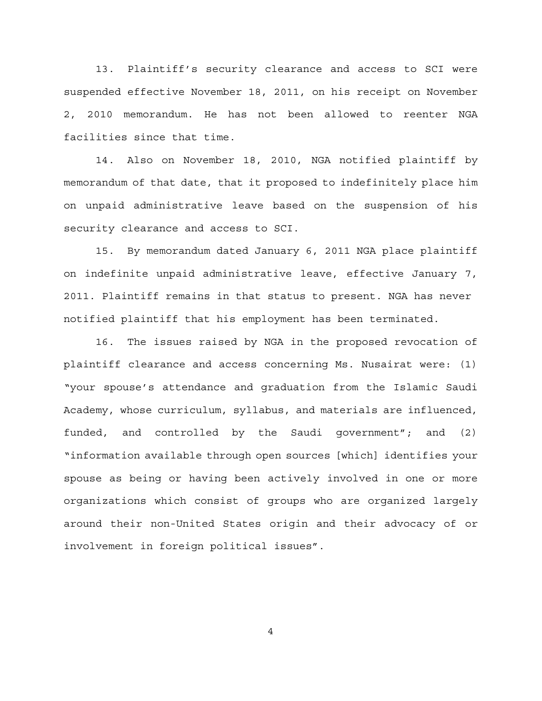13. Plaintiff's security clearance and access to SCI were suspended effective November 18, 2011, on his receipt on November 2, 2010 memorandum. He has not been allowed to reenter NGA facilities since that time.

14. Also on November 18, 2010, NGA notified plaintiff by memorandum of that date, that it proposed to indefinitely place him on unpaid administrative leave based on the suspension of his security clearance and access to SCI.

15. By memorandum dated January 6, 2011 NGA place plaintiff on indefinite unpaid administrative leave, effective January 7, 2011. Plaintiff remains in that status to present. NGA has never notified plaintiff that his employment has been terminated.

16. The issues raised by NGA in the proposed revocation of plaintiff clearance and access concerning Ms. Nusairat were: (1) "your spouse's attendance and graduation from the Islamic Saudi Academy, whose curriculum, syllabus, and materials are influenced, funded, and controlled by the Saudi government"; and (2) "information available through open sources [which] identifies your spouse as being or having been actively involved in one or more organizations which consist of groups who are organized largely around their non-United States origin and their advocacy of or involvement in foreign political issues".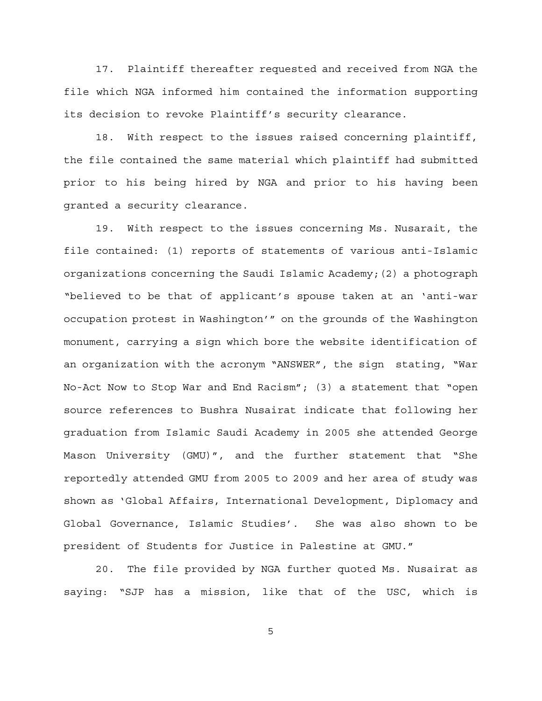17. Plaintiff thereafter requested and received from NGA the file which NGA informed him contained the information supporting its decision to revoke Plaintiff's security clearance.

18. With respect to the issues raised concerning plaintiff, the file contained the same material which plaintiff had submitted prior to his being hired by NGA and prior to his having been granted a security clearance.

19. With respect to the issues concerning Ms. Nusarait, the file contained: (1) reports of statements of various anti-Islamic organizations concerning the Saudi Islamic Academy;(2) a photograph "believed to be that of applicant's spouse taken at an 'anti-war occupation protest in Washington'" on the grounds of the Washington monument, carrying a sign which bore the website identification of an organization with the acronym "ANSWER", the sign stating, "War No-Act Now to Stop War and End Racism"; (3) a statement that "open source references to Bushra Nusairat indicate that following her graduation from Islamic Saudi Academy in 2005 she attended George Mason University (GMU)", and the further statement that "She reportedly attended GMU from 2005 to 2009 and her area of study was shown as 'Global Affairs, International Development, Diplomacy and Global Governance, Islamic Studies'. She was also shown to be president of Students for Justice in Palestine at GMU."

20. The file provided by NGA further quoted Ms. Nusairat as saying: "SJP has a mission, like that of the USC, which is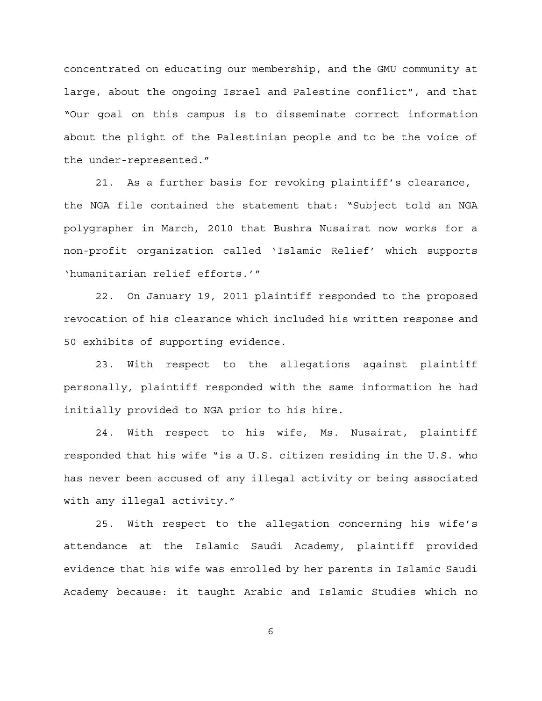concentrated on educating our membership, and the GMU community at large, about the ongoing Israel and Palestine conflict", and that "Our goal on this campus is to disseminate correct information about the plight of the Palestinian people and to be the voice of the under-represented."

21. As a further basis for revoking plaintiff's clearance, the NGA file contained the statement that: "Subject told an NGA polygrapher in March, 2010 that Bushra Nusairat now works for a non-profit organization called 'Islamic Relief' which supports 'humanitarian relief efforts.'"

22. On January 19, 2011 plaintiff responded to the proposed revocation of his clearance which included his written response and 50 exhibits of supporting evidence.

23. With respect to the allegations against plaintiff personally, plaintiff responded with the same information he had initially provided to NGA prior to his hire.

24. With respect to his wife, Ms. Nusairat, plaintiff responded that his wife "is a U.S. citizen residing in the U.S. who has never been accused of any illegal activity or being associated with any illegal activity."

25. With respect to the allegation concerning his wife's attendance at the Islamic Saudi Academy, plaintiff provided evidence that his wife was enrolled by her parents in Islamic Saudi Academy because: it taught Arabic and Islamic Studies which no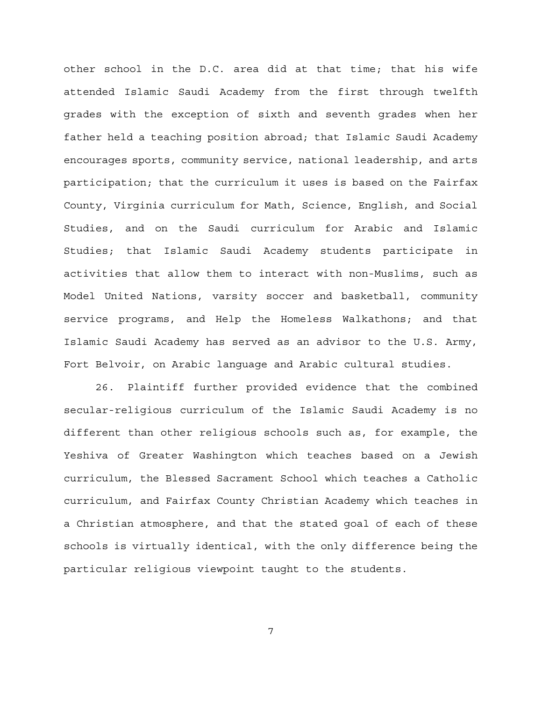other school in the D.C. area did at that time; that his wife attended Islamic Saudi Academy from the first through twelfth grades with the exception of sixth and seventh grades when her father held a teaching position abroad; that Islamic Saudi Academy encourages sports, community service, national leadership, and arts participation; that the curriculum it uses is based on the Fairfax County, Virginia curriculum for Math, Science, English, and Social Studies, and on the Saudi curriculum for Arabic and Islamic Studies; that Islamic Saudi Academy students participate in activities that allow them to interact with non-Muslims, such as Model United Nations, varsity soccer and basketball, community service programs, and Help the Homeless Walkathons; and that Islamic Saudi Academy has served as an advisor to the U.S. Army, Fort Belvoir, on Arabic language and Arabic cultural studies.

26. Plaintiff further provided evidence that the combined secular-religious curriculum of the Islamic Saudi Academy is no different than other religious schools such as, for example, the Yeshiva of Greater Washington which teaches based on a Jewish curriculum, the Blessed Sacrament School which teaches a Catholic curriculum, and Fairfax County Christian Academy which teaches in a Christian atmosphere, and that the stated goal of each of these schools is virtually identical, with the only difference being the particular religious viewpoint taught to the students.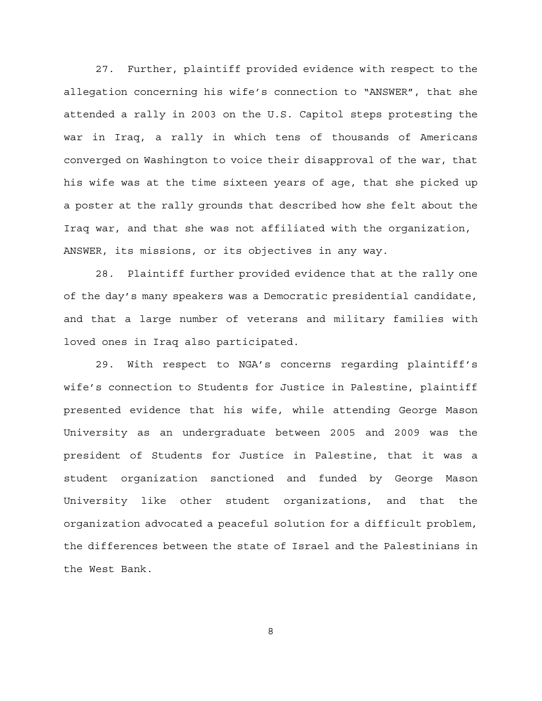27. Further, plaintiff provided evidence with respect to the allegation concerning his wife's connection to "ANSWER", that she attended a rally in 2003 on the U.S. Capitol steps protesting the war in Iraq, a rally in which tens of thousands of Americans converged on Washington to voice their disapproval of the war, that his wife was at the time sixteen years of age, that she picked up a poster at the rally grounds that described how she felt about the Iraq war, and that she was not affiliated with the organization, ANSWER, its missions, or its objectives in any way.

28. Plaintiff further provided evidence that at the rally one of the day's many speakers was a Democratic presidential candidate, and that a large number of veterans and military families with loved ones in Iraq also participated.

29. With respect to NGA's concerns regarding plaintiff's wife's connection to Students for Justice in Palestine, plaintiff presented evidence that his wife, while attending George Mason University as an undergraduate between 2005 and 2009 was the president of Students for Justice in Palestine, that it was a student organization sanctioned and funded by George Mason University like other student organizations, and that the organization advocated a peaceful solution for a difficult problem, the differences between the state of Israel and the Palestinians in the West Bank.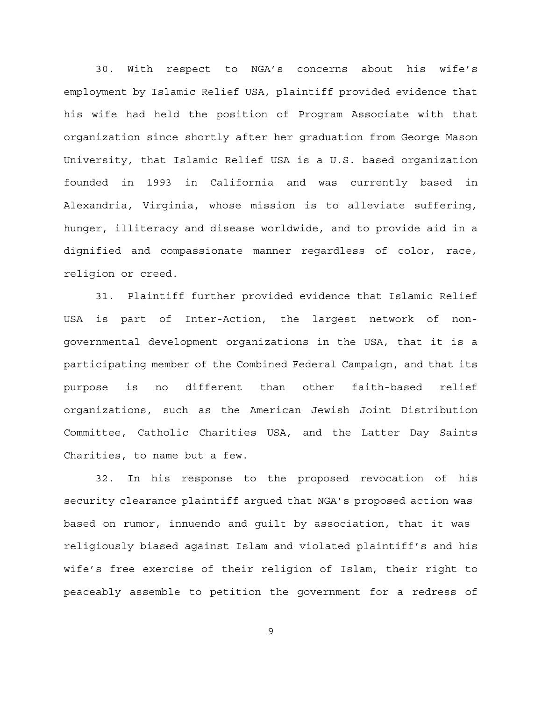30. With respect to NGA's concerns about his wife's employment by Islamic Relief USA, plaintiff provided evidence that his wife had held the position of Program Associate with that organization since shortly after her graduation from George Mason University, that Islamic Relief USA is a U.S. based organization founded in 1993 in California and was currently based in Alexandria, Virginia, whose mission is to alleviate suffering, hunger, illiteracy and disease worldwide, and to provide aid in a dignified and compassionate manner regardless of color, race, religion or creed.

31. Plaintiff further provided evidence that Islamic Relief USA is part of Inter-Action, the largest network of nongovernmental development organizations in the USA, that it is a participating member of the Combined Federal Campaign, and that its purpose is no different than other faith-based relief organizations, such as the American Jewish Joint Distribution Committee, Catholic Charities USA, and the Latter Day Saints Charities, to name but a few.

32. In his response to the proposed revocation of his security clearance plaintiff argued that NGA's proposed action was based on rumor, innuendo and guilt by association, that it was religiously biased against Islam and violated plaintiff's and his wife's free exercise of their religion of Islam, their right to peaceably assemble to petition the government for a redress of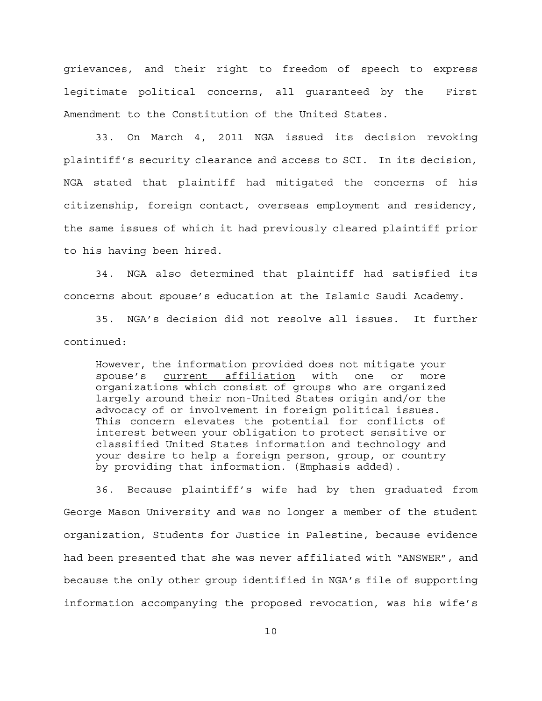grievances, and their right to freedom of speech to express legitimate political concerns, all guaranteed by the First Amendment to the Constitution of the United States.

33. On March 4, 2011 NGA issued its decision revoking plaintiff's security clearance and access to SCI. In its decision, NGA stated that plaintiff had mitigated the concerns of his citizenship, foreign contact, overseas employment and residency, the same issues of which it had previously cleared plaintiff prior to his having been hired.

34. NGA also determined that plaintiff had satisfied its concerns about spouse's education at the Islamic Saudi Academy.

35. NGA's decision did not resolve all issues. It further continued:

However, the information provided does not mitigate your spouse's current affiliation with one or more organizations which consist of groups who are organized largely around their non-United States origin and/or the advocacy of or involvement in foreign political issues. This concern elevates the potential for conflicts of interest between your obligation to protect sensitive or classified United States information and technology and your desire to help a foreign person, group, or country by providing that information. (Emphasis added).

36. Because plaintiff's wife had by then graduated from George Mason University and was no longer a member of the student organization, Students for Justice in Palestine, because evidence had been presented that she was never affiliated with "ANSWER", and because the only other group identified in NGA's file of supporting information accompanying the proposed revocation, was his wife's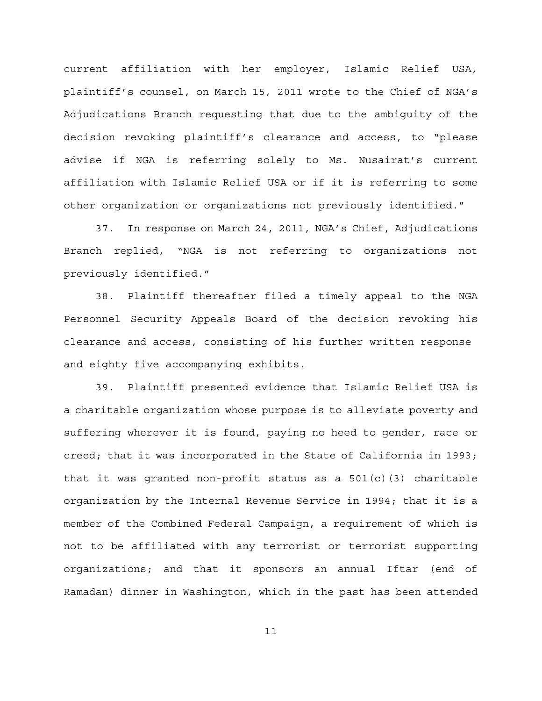current affiliation with her employer, Islamic Relief USA, plaintiff's counsel, on March 15, 2011 wrote to the Chief of NGA's Adjudications Branch requesting that due to the ambiguity of the decision revoking plaintiff's clearance and access, to "please advise if NGA is referring solely to Ms. Nusairat's current affiliation with Islamic Relief USA or if it is referring to some other organization or organizations not previously identified."

37. In response on March 24, 2011, NGA's Chief, Adjudications Branch replied, "NGA is not referring to organizations not previously identified."

38. Plaintiff thereafter filed a timely appeal to the NGA Personnel Security Appeals Board of the decision revoking his clearance and access, consisting of his further written response and eighty five accompanying exhibits.

39. Plaintiff presented evidence that Islamic Relief USA is a charitable organization whose purpose is to alleviate poverty and suffering wherever it is found, paying no heed to gender, race or creed; that it was incorporated in the State of California in 1993; that it was granted non-profit status as a  $501(c)(3)$  charitable organization by the Internal Revenue Service in 1994; that it is a member of the Combined Federal Campaign, a requirement of which is not to be affiliated with any terrorist or terrorist supporting organizations; and that it sponsors an annual Iftar (end of Ramadan) dinner in Washington, which in the past has been attended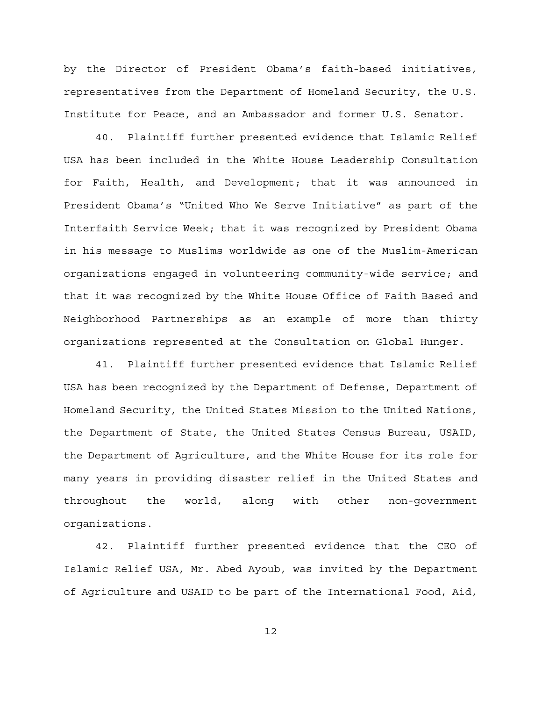by the Director of President Obama's faith-based initiatives, representatives from the Department of Homeland Security, the U.S. Institute for Peace, and an Ambassador and former U.S. Senator.

40. Plaintiff further presented evidence that Islamic Relief USA has been included in the White House Leadership Consultation for Faith, Health, and Development; that it was announced in President Obama's "United Who We Serve Initiative" as part of the Interfaith Service Week; that it was recognized by President Obama in his message to Muslims worldwide as one of the Muslim-American organizations engaged in volunteering community-wide service; and that it was recognized by the White House Office of Faith Based and Neighborhood Partnerships as an example of more than thirty organizations represented at the Consultation on Global Hunger.

41. Plaintiff further presented evidence that Islamic Relief USA has been recognized by the Department of Defense, Department of Homeland Security, the United States Mission to the United Nations, the Department of State, the United States Census Bureau, USAID, the Department of Agriculture, and the White House for its role for many years in providing disaster relief in the United States and throughout the world, along with other non-government organizations.

42. Plaintiff further presented evidence that the CEO of Islamic Relief USA, Mr. Abed Ayoub, was invited by the Department of Agriculture and USAID to be part of the International Food, Aid,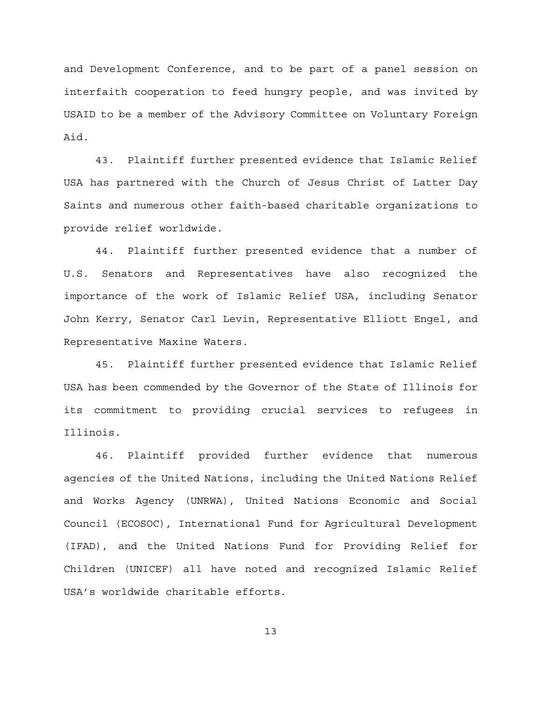and Development Conference, and to be part of a panel session on interfaith cooperation to feed hungry people, and was invited by USAID to be a member of the Advisory Committee on Voluntary Foreign Aid.

43. Plaintiff further presented evidence that Islamic Relief USA has partnered with the Church of Jesus Christ of Latter Day Saints and numerous other faith-based charitable organizations to provide relief worldwide.

44. Plaintiff further presented evidence that a number of U.S. Senators and Representatives have also recognized the importance of the work of Islamic Relief USA, including Senator John Kerry, Senator Carl Levin, Representative Elliott Engel, and Representative Maxine Waters.

45. Plaintiff further presented evidence that Islamic Relief USA has been commended by the Governor of the State of Illinois for its commitment to providing crucial services to refugees in Illinois.

46. Plaintiff provided further evidence that numerous agencies of the United Nations, including the United Nations Relief and Works Agency (UNRWA), United Nations Economic and Social Council (ECOSOC), International Fund for Agricultural Development (IFAD), and the United Nations Fund for Providing Relief for Children (UNICEF) all have noted and recognized Islamic Relief USA's worldwide charitable efforts.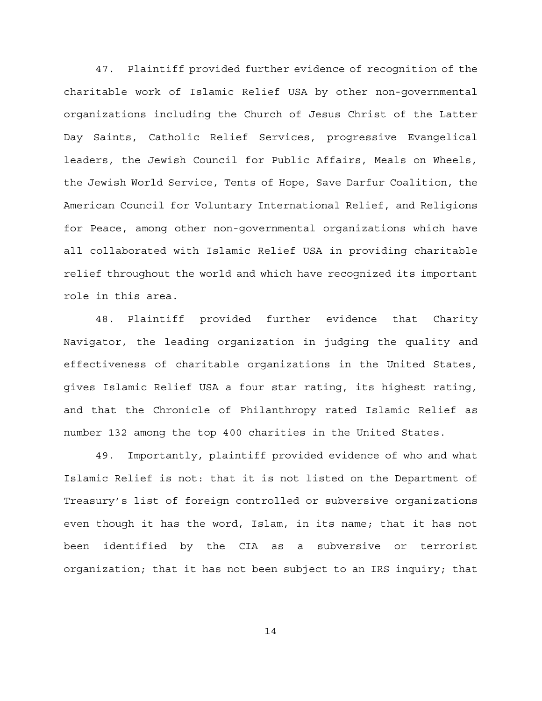47. Plaintiff provided further evidence of recognition of the charitable work of Islamic Relief USA by other non-governmental organizations including the Church of Jesus Christ of the Latter Day Saints, Catholic Relief Services, progressive Evangelical leaders, the Jewish Council for Public Affairs, Meals on Wheels, the Jewish World Service, Tents of Hope, Save Darfur Coalition, the American Council for Voluntary International Relief, and Religions for Peace, among other non-governmental organizations which have all collaborated with Islamic Relief USA in providing charitable relief throughout the world and which have recognized its important role in this area.

48. Plaintiff provided further evidence that Charity Navigator, the leading organization in judging the quality and effectiveness of charitable organizations in the United States, gives Islamic Relief USA a four star rating, its highest rating, and that the Chronicle of Philanthropy rated Islamic Relief as number 132 among the top 400 charities in the United States.

49. Importantly, plaintiff provided evidence of who and what Islamic Relief is not: that it is not listed on the Department of Treasury's list of foreign controlled or subversive organizations even though it has the word, Islam, in its name; that it has not been identified by the CIA as a subversive or terrorist organization; that it has not been subject to an IRS inquiry; that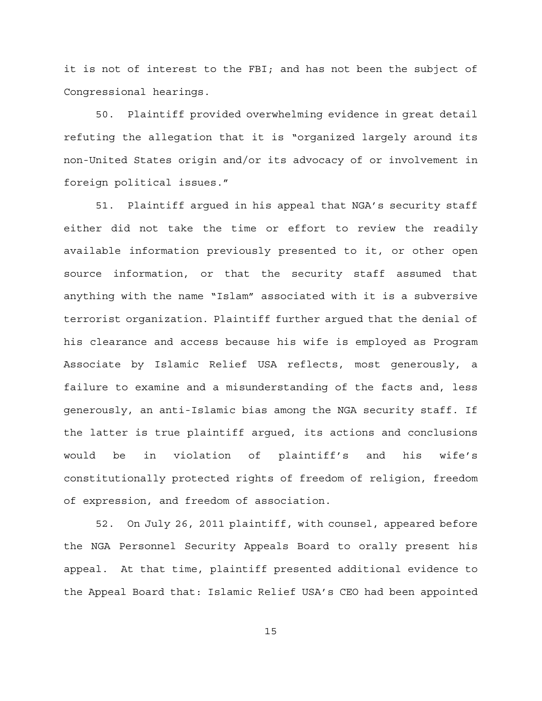it is not of interest to the FBI; and has not been the subject of Congressional hearings.

50. Plaintiff provided overwhelming evidence in great detail refuting the allegation that it is "organized largely around its non-United States origin and/or its advocacy of or involvement in foreign political issues."

51. Plaintiff argued in his appeal that NGA's security staff either did not take the time or effort to review the readily available information previously presented to it, or other open source information, or that the security staff assumed that anything with the name "Islam" associated with it is a subversive terrorist organization. Plaintiff further argued that the denial of his clearance and access because his wife is employed as Program Associate by Islamic Relief USA reflects, most generously, a failure to examine and a misunderstanding of the facts and, less generously, an anti-Islamic bias among the NGA security staff. If the latter is true plaintiff argued, its actions and conclusions would be in violation of plaintiff's and his wife's constitutionally protected rights of freedom of religion, freedom of expression, and freedom of association.

52. On July 26, 2011 plaintiff, with counsel, appeared before the NGA Personnel Security Appeals Board to orally present his appeal. At that time, plaintiff presented additional evidence to the Appeal Board that: Islamic Relief USA's CEO had been appointed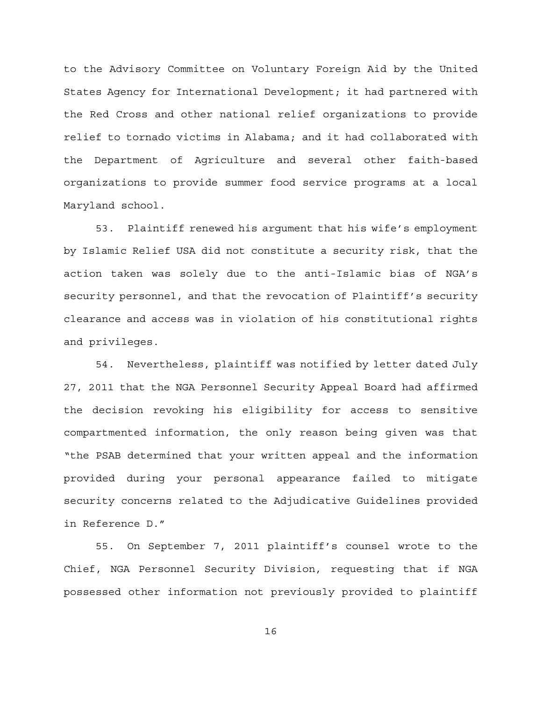to the Advisory Committee on Voluntary Foreign Aid by the United States Agency for International Development; it had partnered with the Red Cross and other national relief organizations to provide relief to tornado victims in Alabama; and it had collaborated with the Department of Agriculture and several other faith-based organizations to provide summer food service programs at a local Maryland school.

53. Plaintiff renewed his argument that his wife's employment by Islamic Relief USA did not constitute a security risk, that the action taken was solely due to the anti-Islamic bias of NGA's security personnel, and that the revocation of Plaintiff's security clearance and access was in violation of his constitutional rights and privileges.

54. Nevertheless, plaintiff was notified by letter dated July 27, 2011 that the NGA Personnel Security Appeal Board had affirmed the decision revoking his eligibility for access to sensitive compartmented information, the only reason being given was that "the PSAB determined that your written appeal and the information provided during your personal appearance failed to mitigate security concerns related to the Adjudicative Guidelines provided in Reference D."

55. On September 7, 2011 plaintiff's counsel wrote to the Chief, NGA Personnel Security Division, requesting that if NGA possessed other information not previously provided to plaintiff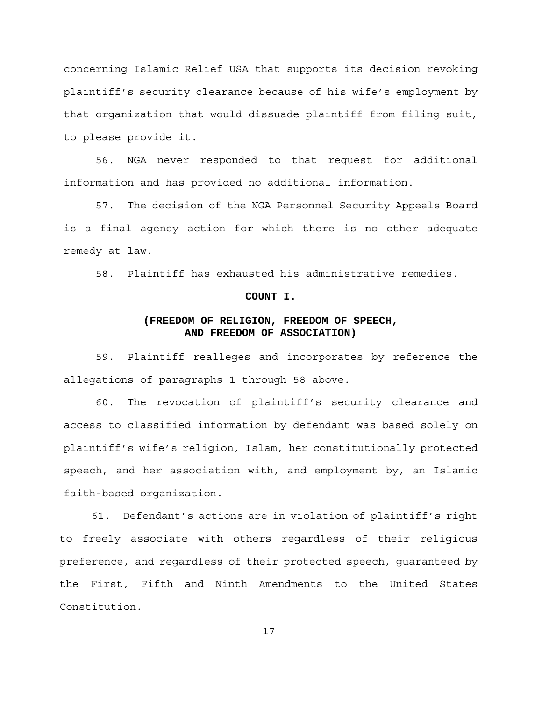concerning Islamic Relief USA that supports its decision revoking plaintiff's security clearance because of his wife's employment by that organization that would dissuade plaintiff from filing suit, to please provide it.

56. NGA never responded to that request for additional information and has provided no additional information.

57. The decision of the NGA Personnel Security Appeals Board is a final agency action for which there is no other adequate remedy at law.

58. Plaintiff has exhausted his administrative remedies.

## **COUNT I.**

# **(FREEDOM OF RELIGION, FREEDOM OF SPEECH, AND FREEDOM OF ASSOCIATION)**

59. Plaintiff realleges and incorporates by reference the allegations of paragraphs 1 through 58 above.

60. The revocation of plaintiff's security clearance and access to classified information by defendant was based solely on plaintiff's wife's religion, Islam, her constitutionally protected speech, and her association with, and employment by, an Islamic faith-based organization.

61. Defendant's actions are in violation of plaintiff's right to freely associate with others regardless of their religious preference, and regardless of their protected speech, guaranteed by the First, Fifth and Ninth Amendments to the United States Constitution.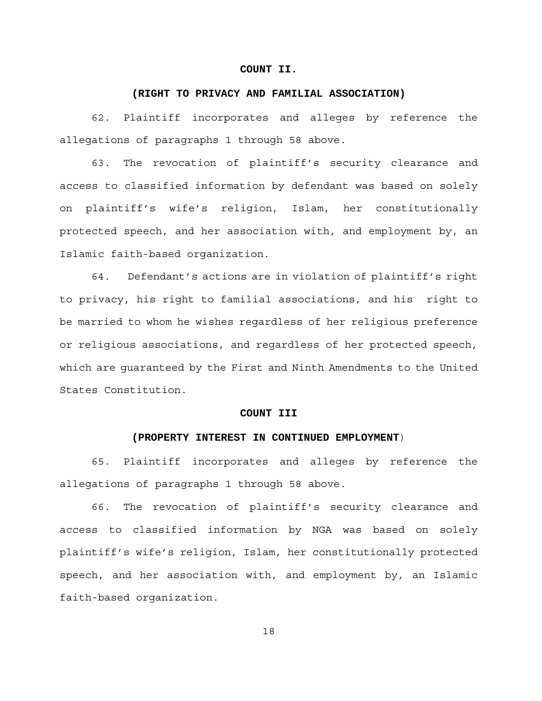## **COUNT II.**

#### **(RIGHT TO PRIVACY AND FAMILIAL ASSOCIATION)**

62. Plaintiff incorporates and alleges by reference the allegations of paragraphs 1 through 58 above.

63. The revocation of plaintiff's security clearance and access to classified information by defendant was based on solely on plaintiff's wife's religion, Islam, her constitutionally protected speech, and her association with, and employment by, an Islamic faith-based organization.

64. Defendant's actions are in violation of plaintiff's right to privacy, his right to familial associations, and his right to be married to whom he wishes regardless of her religious preference or religious associations, and regardless of her protected speech, which are guaranteed by the First and Ninth Amendments to the United States Constitution.

#### **COUNT III**

## **(PROPERTY INTEREST IN CONTINUED EMPLOYMENT**)

65. Plaintiff incorporates and alleges by reference the allegations of paragraphs 1 through 58 above.

66. The revocation of plaintiff's security clearance and access to classified information by NGA was based on solely plaintiff's wife's religion, Islam, her constitutionally protected speech, and her association with, and employment by, an Islamic faith-based organization.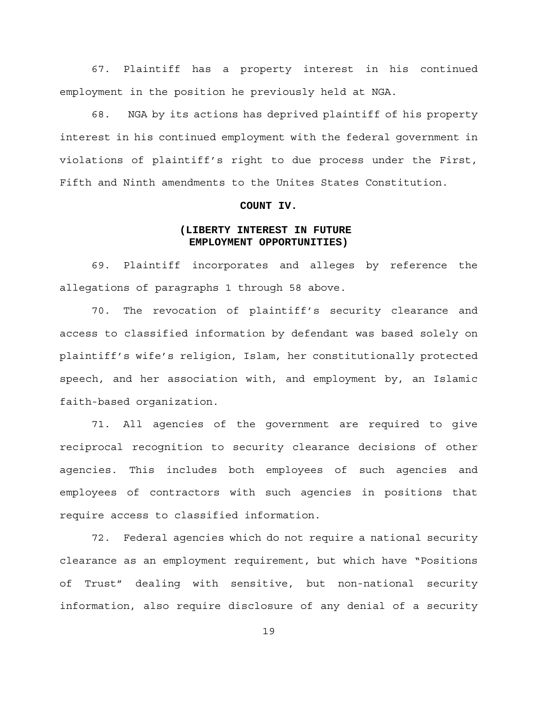67. Plaintiff has a property interest in his continued employment in the position he previously held at NGA.

68. NGA by its actions has deprived plaintiff of his property interest in his continued employment with the federal government in violations of plaintiff's right to due process under the First, Fifth and Ninth amendments to the Unites States Constitution.

## **COUNT IV.**

# **(LIBERTY INTEREST IN FUTURE EMPLOYMENT OPPORTUNITIES)**

69. Plaintiff incorporates and alleges by reference the allegations of paragraphs 1 through 58 above.

70. The revocation of plaintiff's security clearance and access to classified information by defendant was based solely on plaintiff's wife's religion, Islam, her constitutionally protected speech, and her association with, and employment by, an Islamic faith-based organization.

71. All agencies of the government are required to give reciprocal recognition to security clearance decisions of other agencies. This includes both employees of such agencies and employees of contractors with such agencies in positions that require access to classified information.

72. Federal agencies which do not require a national security clearance as an employment requirement, but which have "Positions of Trust" dealing with sensitive, but non-national security information, also require disclosure of any denial of a security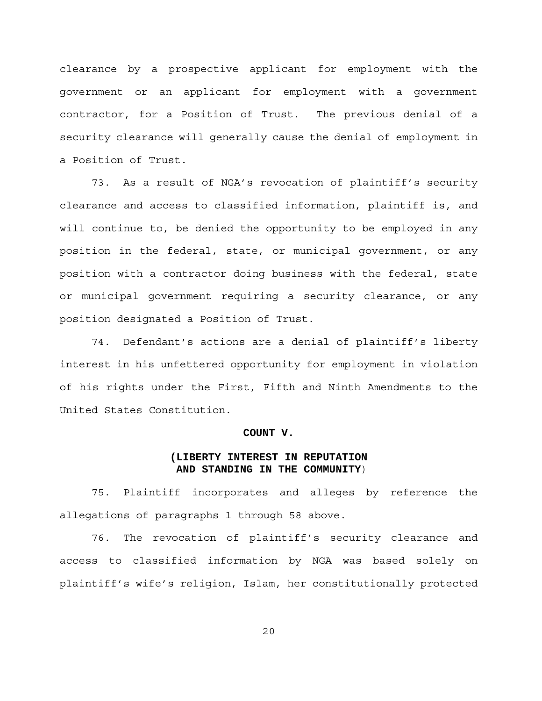clearance by a prospective applicant for employment with the government or an applicant for employment with a government contractor, for a Position of Trust. The previous denial of a security clearance will generally cause the denial of employment in a Position of Trust.

73. As a result of NGA's revocation of plaintiff's security clearance and access to classified information, plaintiff is, and will continue to, be denied the opportunity to be employed in any position in the federal, state, or municipal government, or any position with a contractor doing business with the federal, state or municipal government requiring a security clearance, or any position designated a Position of Trust.

74. Defendant's actions are a denial of plaintiff's liberty interest in his unfettered opportunity for employment in violation of his rights under the First, Fifth and Ninth Amendments to the United States Constitution.

## **COUNT V.**

# **(LIBERTY INTEREST IN REPUTATION AND STANDING IN THE COMMUNITY**)

75. Plaintiff incorporates and alleges by reference the allegations of paragraphs 1 through 58 above.

76. The revocation of plaintiff's security clearance and access to classified information by NGA was based solely on plaintiff's wife's religion, Islam, her constitutionally protected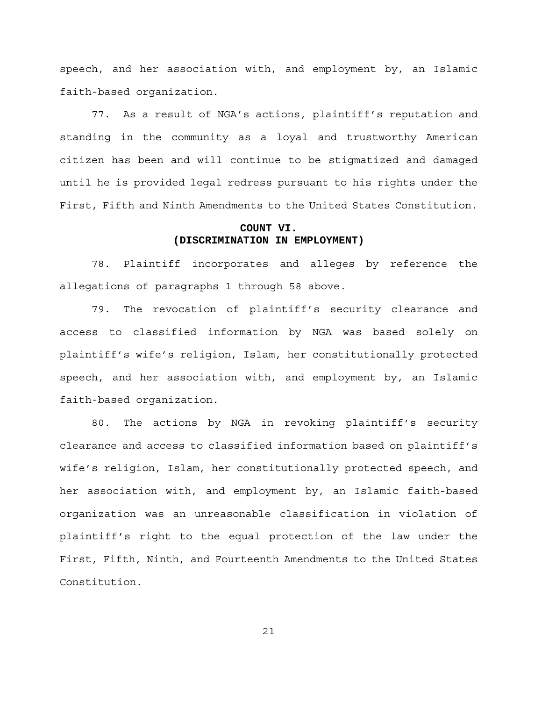speech, and her association with, and employment by, an Islamic faith-based organization.

77. As a result of NGA's actions, plaintiff's reputation and standing in the community as a loyal and trustworthy American citizen has been and will continue to be stigmatized and damaged until he is provided legal redress pursuant to his rights under the First, Fifth and Ninth Amendments to the United States Constitution.

# **COUNT VI. (DISCRIMINATION IN EMPLOYMENT)**

78. Plaintiff incorporates and alleges by reference the allegations of paragraphs 1 through 58 above.

79. The revocation of plaintiff's security clearance and access to classified information by NGA was based solely on plaintiff's wife's religion, Islam, her constitutionally protected speech, and her association with, and employment by, an Islamic faith-based organization.

80. The actions by NGA in revoking plaintiff's security clearance and access to classified information based on plaintiff's wife's religion, Islam, her constitutionally protected speech, and her association with, and employment by, an Islamic faith-based organization was an unreasonable classification in violation of plaintiff's right to the equal protection of the law under the First, Fifth, Ninth, and Fourteenth Amendments to the United States Constitution.